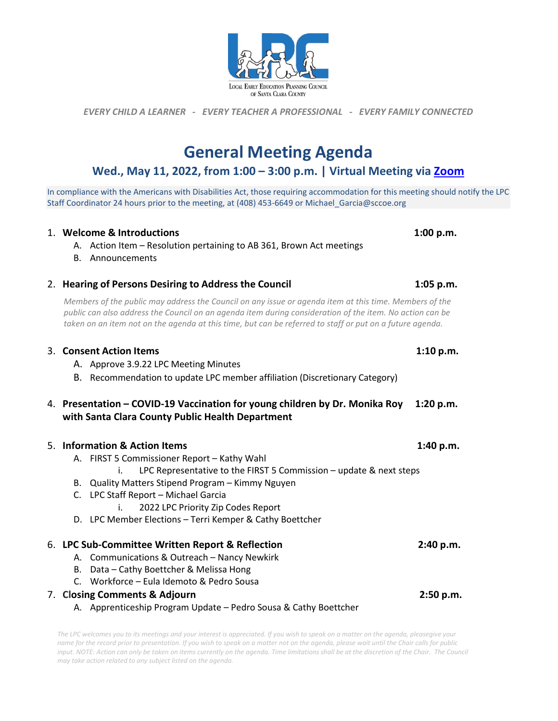# **General Meeting Agenda**

## **Wed., May 11, 2022, from 1:00 – 3:00 p.m. | Virtual Meeting via [Zoom](https://sccoe.zoom.us/j/95854198588)**

In compliance with the Americans with Disabilities Act, those requiring accommodation for this meeting should notify the LPC Staff Coordinator 24 hours prior to the meeting, at (408) 453-6649 or Michael\_Garcia@sccoe.org

#### 1. **Welcome & Introductions 1:00 p.m.**

- A. Action Item Resolution pertaining to AB 361, Brown Act meetings
- B. Announcements

## 2. **Hearing of Persons Desiring to Address the Council 1:05 p.m.**

*Members of the public may address the Council on any issue or agenda item at this time. Members of the public can also address the Council on an agenda item during consideration of the item. No action can be taken on an item not on the agenda at this time, but can be referred to staff or put on a future agenda.*

#### 3. **Consent Action Items 1:10 p.m.**

- A. Approve 3.9.22 LPC Meeting Minutes
- B. Recommendation to update LPC member affiliation (Discretionary Category)

## 4. **Presentation – COVID-19 Vaccination for young children by Dr. Monika Roy 1:20 p.m. with Santa Clara County Public Health Department**

## 5. **Information & Action Items 1:40 p.m.**

- A. FIRST 5 Commissioner Report Kathy Wahl
	- i. LPC Representative to the FIRST 5 Commission update & next steps
- B. Quality Matters Stipend Program Kimmy Nguyen
- C. LPC Staff Report Michael Garcia
	- i. 2022 LPC Priority Zip Codes Report
- D. LPC Member Elections Terri Kemper & Cathy Boettcher

## 6. **LPC Sub-Committee Written Report & Reflection 2:40 p.m.**

- A. Communications & Outreach Nancy Newkirk
- B. Data Cathy Boettcher & Melissa Hong
- C. Workforce Eula Idemoto & Pedro Sousa

#### 7. **Closing Comments & Adjourn 2:50 p.m.**

A. Apprenticeship Program Update – Pedro Sousa & Cathy Boettcher

*The LPC welcomes you to its meetings and your interest is appreciated. If you wish to speak on a matter on the agenda, pleasegive your name for the record prior to presentation. If you wish to speak on a matter not on the agenda, please wait until the Chair calls for public input. NOTE: Action can only be taken on items currently on the agenda. Time limitations shall be at the discretion of the Chair. The Council may take action related to any subject listed on the agenda.*



*EVERY CHILD A LEARNER - EVERY TEACHER A PROFESSIONAL - EVERY FAMILY CONNECTED*